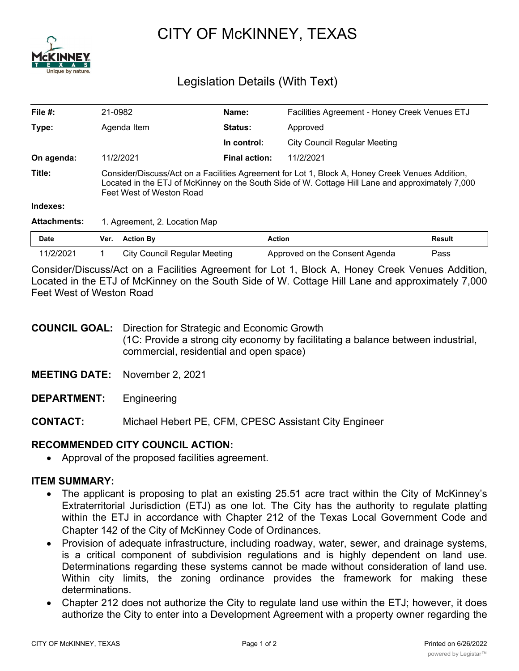

# CITY OF McKINNEY, TEXAS

## Legislation Details (With Text)

| File $#$ :          | 21-0982                                                                                                                                                                                                                         | Name:                | Facilities Agreement - Honey Creek Venues ETJ |        |
|---------------------|---------------------------------------------------------------------------------------------------------------------------------------------------------------------------------------------------------------------------------|----------------------|-----------------------------------------------|--------|
| Type:               | Agenda Item                                                                                                                                                                                                                     | Status:              | Approved                                      |        |
|                     |                                                                                                                                                                                                                                 | In control:          | City Council Regular Meeting                  |        |
| On agenda:          | 11/2/2021                                                                                                                                                                                                                       | <b>Final action:</b> | 11/2/2021                                     |        |
| Title:              | Consider/Discuss/Act on a Facilities Agreement for Lot 1, Block A, Honey Creek Venues Addition,<br>Located in the ETJ of McKinney on the South Side of W. Cottage Hill Lane and approximately 7,000<br>Feet West of Weston Road |                      |                                               |        |
| Indexes:            |                                                                                                                                                                                                                                 |                      |                                               |        |
| <b>Attachments:</b> | 1. Agreement, 2. Location Map                                                                                                                                                                                                   |                      |                                               |        |
| <b>Date</b>         | <b>Action By</b><br>Ver.                                                                                                                                                                                                        | <b>Action</b>        |                                               | Result |

Consider/Discuss/Act on a Facilities Agreement for Lot 1, Block A, Honey Creek Venues Addition, Located in the ETJ of McKinney on the South Side of W. Cottage Hill Lane and approximately 7,000 Feet West of Weston Road

11/2/2021 1 City Council Regular Meeting Approved on the Consent Agenda Pass

| <b>COUNCIL GOAL:</b> Direction for Strategic and Economic Growth                                                            |
|-----------------------------------------------------------------------------------------------------------------------------|
| (1C: Provide a strong city economy by facilitating a balance between industrial,<br>commercial, residential and open space) |
|                                                                                                                             |

**MEETING DATE:** November 2, 2021

**DEPARTMENT:** Engineering

**CONTACT:** Michael Hebert PE, CFM, CPESC Assistant City Engineer

#### **RECOMMENDED CITY COUNCIL ACTION:**

· Approval of the proposed facilities agreement.

#### **ITEM SUMMARY:**

- The applicant is proposing to plat an existing 25.51 acre tract within the City of McKinney's Extraterritorial Jurisdiction (ETJ) as one lot. The City has the authority to regulate platting within the ETJ in accordance with Chapter 212 of the Texas Local Government Code and Chapter 142 of the City of McKinney Code of Ordinances.
- · Provision of adequate infrastructure, including roadway, water, sewer, and drainage systems, is a critical component of subdivision regulations and is highly dependent on land use. Determinations regarding these systems cannot be made without consideration of land use. Within city limits, the zoning ordinance provides the framework for making these determinations.
- Chapter 212 does not authorize the City to regulate land use within the ETJ; however, it does authorize the City to enter into a Development Agreement with a property owner regarding the